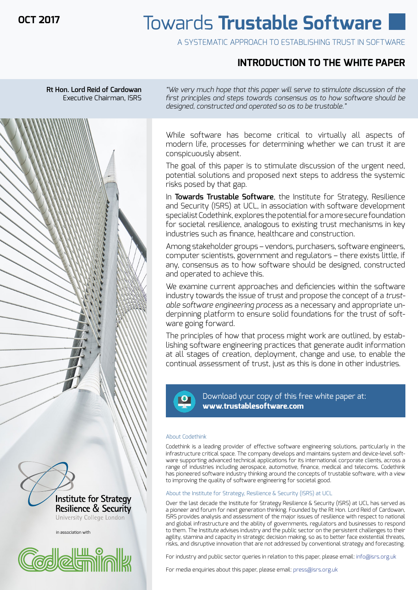**OCT 2017**

# Towards **Trustable Software**

A SYSTEMATIC APPROACH TO ESTABLISHING TRUST IN SOFTWARE

# **INTRODUCTION TO THE WHITE PAPER**



in association with

<u>idalal lill</u>l

Institute for Strategy **Resilience & Security** University College London

*"We very much hope that this paper will serve to stimulate discussion of the first principles and steps towards consensus as to how software should be designed, constructed and operated so as to be trustable."*

While software has become critical to virtually all aspects of modern life, processes for determining whether we can trust it are conspicuously absent.

The goal of this paper is to stimulate discussion of the urgent need, potential solutions and proposed next steps to address the systemic risks posed by that gap.

In **Towards Trustable Software**, the Institute for Strategy, Resilience and Security (ISRS) at UCL, in association with software development specialist Codethink, explores the potential for a more secure foundation for societal resilience, analogous to existing trust mechanisms in key industries such as finance, healthcare and construction.

Among stakeholder groups – vendors, purchasers, software engineers, computer scientists, government and regulators – there exists little, if any, consensus as to how software should be designed, constructed and operated to achieve this.

We examine current approaches and deficiencies within the software industry towards the issue of trust and propose the concept of a *trustable software engineering process* as a necessary and appropriate underpinning platform to ensure solid foundations for the trust of software going forward.

The principles of how that process might work are outlined, by establishing software engineering practices that generate audit information at all stages of creation, deployment, change and use, to enable the continual assessment of trust, just as this is done in other industries.



Download your copy of this free white paper at: **www.trustablesoftware.com**

#### About Codethink

Codethink is a leading provider of effective software engineering solutions, particularly in the infrastructure critical space. The company develops and maintains system and device-level software supporting advanced technical applications for its international corporate clients, across a range of industries including aerospace, automotive, finance, medical and telecoms. Codethink has pioneered software industry thinking around the concepts of trustable software, with a view to improving the quality of software engineering for societal good.

### About the Institute for Strategy, Resilience & Security (ISRS) at UCL

Over the last decade the Institute for Strategy Resilience & Security (ISRS) at UCL has served as a pioneer and forum for next generation thinking. Founded by the Rt Hon. Lord Reid of Cardowan, ISRS provides analysis and assessment of the major issues of resilience with respect to national and global infrastructure and the ability of governments, regulators and businesses to respond to them. The Institute advises industry and the public sector on the persistent challenges to their agility, stamina and capacity in strategic decision making, so as to better face existential threats, risks, and disruptive innovation that are not addressed by conventional strategy and forecasting.

For industry and public sector queries in relation to this paper, please email: info@isrs.org.uk

For media enquiries about this paper, please email: press@isrs.org.uk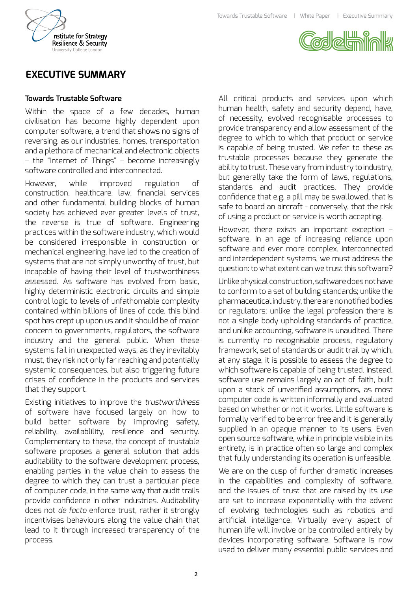



# **EXECUTIVE SUMMARY**

### **Towards Trustable Software**

Within the space of a few decades, human civilisation has become highly dependent upon computer software, a trend that shows no signs of reversing, as our industries, homes, transportation and a plethora of mechanical and electronic objects – the "Internet of Things" – become increasingly software controlled and interconnected.

However, while improved regulation of construction, healthcare, law, financial services and other fundamental building blocks of human society has achieved ever greater levels of trust, the reverse is true of software. Engineering practices within the software industry, which would be considered irresponsible in construction or mechanical engineering, have led to the creation of systems that are not simply unworthy of trust, but incapable of having their level of trustworthiness assessed. As software has evolved from basic, highly deterministic electronic circuits and simple control logic to levels of unfathomable complexity contained within billions of lines of code, this blind spot has crept up upon us and it should be of major concern to governments, regulators, the software industry and the general public. When these systems fail in unexpected ways, as they inevitably must, they risk not only far reaching and potentially systemic consequences, but also triggering future crises of confidence in the products and services that they support.

Existing initiatives to improve the *trustworthiness* of software have focused largely on how to build better software by improving safety, reliability, availablility, resilience and security. Complementary to these, the concept of trustable software proposes a general solution that adds auditability to the software development process, enabling parties in the value chain to assess the degree to which they can trust a particular piece of computer code, in the same way that audit trails provide confidence in other industries. Auditability does not *de facto* enforce trust, rather it strongly incentivises behaviours along the value chain that lead to it through increased transparency of the process.

All critical products and services upon which human health, safety and security depend, have, of necessity, evolved recognisable processes to provide transparency and allow assessment of the degree to which to which that product or service is capable of being trusted. We refer to these as trustable processes because they generate the ability to trust. These vary from industry to industry, but generally take the form of laws, regulations, standards and audit practices. They provide confidence that e.g. a pill may be swallowed, that is safe to board an aircraft - conversely, that the risk of using a product or service is worth accepting.

However, there exists an important exception – software. In an age of increasing reliance upon software and ever more complex, interconnected and interdependent systems, we must address the question: to what extent can we trust this software?

Unlike physical construction, software does not have to conform to a set of building standards; unlike the pharmaceutical industry, there are no notified bodies or regulators; unlike the legal profession there is not a single body upholding standards of practice, and unlike accounting, software is unaudited. There is currently no recognisable process, regulatory framework, set of standards or audit trail by which, at any stage, it is possible to assess the degree to which software is capable of being trusted. Instead, software use remains largely an act of faith, built upon a stack of unverified assumptions, as most computer code is written informally and evaluated based on whether or not it works. Little software is formally verified to be error free and it is generally supplied in an opaque manner to its users. Even open source software, while in principle visible in its entirety, is in practice often so large and complex that fully understanding its operation is unfeasible.

We are on the cusp of further dramatic increases in the capabilities and complexity of software, and the issues of trust that are raised by its use are set to increase exponentially with the advent of evolving technologies such as robotics and artificial intelligence. Virtually every aspect of human life will involve or be controlled entirely by devices incorporating software. Software is now used to deliver many essential public services and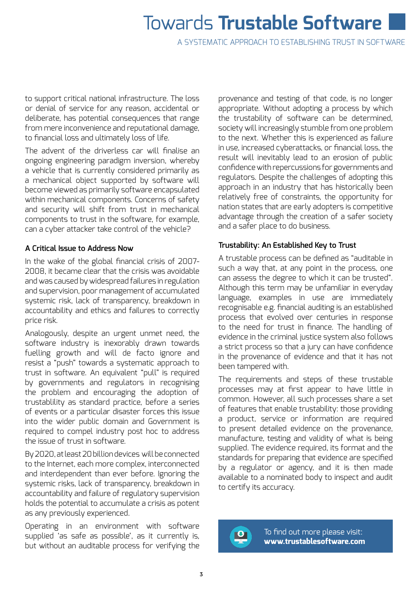# Towards **Trustable Software**

A SYSTEMATIC APPROACH TO ESTABLISHING TRUST IN SOFTWARE

to support critical national infrastructure. The loss or denial of service for any reason, accidental or deliberate, has potential consequences that range from mere inconvenience and reputational damage, to financial loss and ultimately loss of life.

The advent of the driverless car will finalise an ongoing engineering paradigm inversion, whereby a vehicle that is currently considered primarily as a mechanical object supported by software will become viewed as primarily software encapsulated within mechanical components. Concerns of safety and security will shift from trust in mechanical components to trust in the software, for example, can a cyber attacker take control of the vehicle?

### **A Critical Issue to Address Now**

In the wake of the global financial crisis of 2007- 2008, it became clear that the crisis was avoidable and was caused by widespread failures in regulation and supervision, poor management of accumulated systemic risk, lack of transparency, breakdown in accountability and ethics and failures to correctly price risk.

Analogously, despite an urgent unmet need, the software industry is inexorably drawn towards fuelling growth and will de facto ignore and resist a "push" towards a systematic approach to trust in software. An equivalent "pull" is required by governments and regulators in recognising the problem and encouraging the adoption of trustablility as standard practice, before a series of events or a particular disaster forces this issue into the wider public domain and Government is required to compel industry post hoc to address the issue of trust in software.

By 2020, at least 20 billion devices will be connected to the Internet, each more complex, interconnected and interdependent than ever before. Ignoring the systemic risks, lack of transparency, breakdown in accountability and failure of regulatory supervision holds the potential to accumulate a crisis as potent as any previously experienced.

Operating in an environment with software supplied 'as safe as possible', as it currently is, but without an auditable process for verifying the provenance and testing of that code, is no longer appropriate. Without adopting a process by which the trustability of software can be determined, society will increasingly stumble from one problem to the next. Whether this is experienced as failure in use, increased cyberattacks, or financial loss, the result will inevitably lead to an erosion of public confidence with repercussions for governments and regulators. Despite the challenges of adopting this approach in an industry that has historically been relatively free of constraints, the opportunity for nation states that are early adopters is competitive advantage through the creation of a safer society and a safer place to do business.

### **Trustability: An Established Key to Trust**

A trustable process can be defined as "auditable in such a way that, at any point in the process, one can assess the degree to which it can be trusted". Although this term may be unfamiliar in everyday language, examples in use are immediately recognisable e.g. financial auditing is an established process that evolved over centuries in response to the need for trust in finance. The handling of evidence in the criminal justice system also follows a strict process so that a jury can have confidence in the provenance of evidence and that it has not been tampered with.

The requirements and steps of these trustable processes may at first appear to have little in common. However, all such processes share a set of features that enable trustability: those providing a product, service or information are required to present detailed evidence on the provenance, manufacture, testing and validity of what is being supplied. The evidence required, its format and the standards for preparing that evidence are specified by a regulator or agency, and it is then made available to a nominated body to inspect and audit to certify its accuracy.



To find out more please visit: **www.trustablesoftware.com**